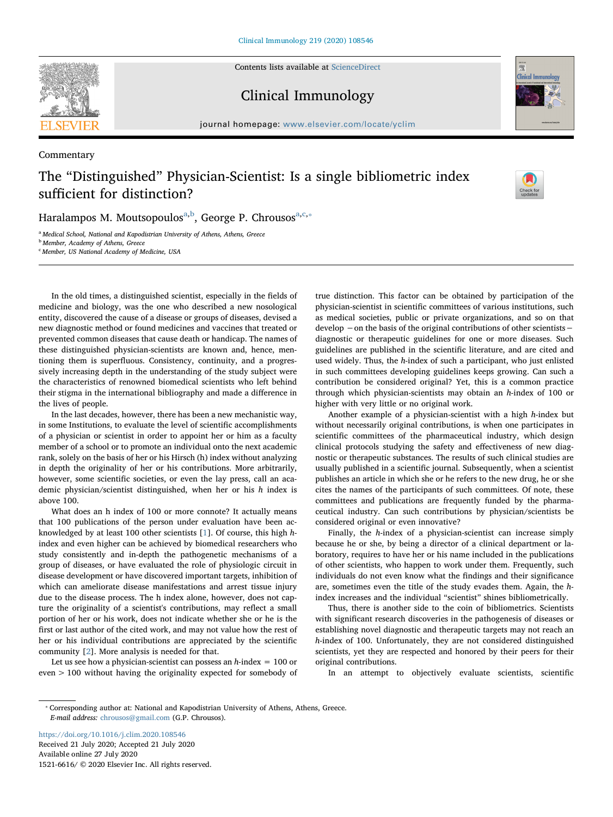**SEVIER** 

Commentary

Contents lists available at [ScienceDirect](http://www.sciencedirect.com/science/journal/15216616)

Clinical Immunology



journal homepage: www.elsevier.com/locate/ $\frac{1}{2}$ 

## The "Distinguished" Physician-Scientist: Is a single bibliometric index sufficient for distinction?



H[a](#page-0-0)ralampos M. Moutsopoulos<sup>a,[b](#page-0-1)</sup>, George P. Chrousos<sup>a,[c](#page-0-2),</sup>\*

<span id="page-0-0"></span><sup>a</sup> Medical School, National and Kapodistrian University of Athens, Athens, Greece

<span id="page-0-1"></span>**b** Member, Academy of Athens, Greece

<span id="page-0-2"></span>c Member, US National Academy of Medicine, USA

In the old times, a distinguished scientist, especially in the fields of medicine and biology, was the one who described a new nosological entity, discovered the cause of a disease or groups of diseases, devised a new diagnostic method or found medicines and vaccines that treated or prevented common diseases that cause death or handicap. The names of these distinguished physician-scientists are known and, hence, mentioning them is superfluous. Consistency, continuity, and a progressively increasing depth in the understanding of the study subject were the characteristics of renowned biomedical scientists who left behind their stigma in the international bibliography and made a difference in the lives of people.

In the last decades, however, there has been a new mechanistic way, in some Institutions, to evaluate the level of scientific accomplishments of a physician or scientist in order to appoint her or him as a faculty member of a school or to promote an individual onto the next academic rank, solely on the basis of her or his Hirsch (h) index without analyzing in depth the originality of her or his contributions. More arbitrarily, however, some scientific societies, or even the lay press, call an academic physician/scientist distinguished, when her or his h index is above 100.

What does an h index of 100 or more connote? It actually means that 100 publications of the person under evaluation have been acknowledged by at least 100 other scientists [\[1\]](#page-1-0). Of course, this high hindex and even higher can be achieved by biomedical researchers who study consistently and in-depth the pathogenetic mechanisms of a group of diseases, or have evaluated the role of physiologic circuit in disease development or have discovered important targets, inhibition of which can ameliorate disease manifestations and arrest tissue injury due to the disease process. The h index alone, however, does not capture the originality of a scientist's contributions, may reflect a small portion of her or his work, does not indicate whether she or he is the first or last author of the cited work, and may not value how the rest of her or his individual contributions are appreciated by the scientific community [[2](#page-1-1)]. More analysis is needed for that.

Let us see how a physician-scientist can possess an  $h$ -index = 100 or even > 100 without having the originality expected for somebody of true distinction. This factor can be obtained by participation of the physician-scientist in scientific committees of various institutions, such as medical societies, public or private organizations, and so on that develop −on the basis of the original contributions of other scientists− diagnostic or therapeutic guidelines for one or more diseases. Such guidelines are published in the scientific literature, and are cited and used widely. Thus, the h-index of such a participant, who just enlisted in such committees developing guidelines keeps growing. Can such a contribution be considered original? Yet, this is a common practice through which physician-scientists may obtain an h-index of 100 or higher with very little or no original work.

Another example of a physician-scientist with a high h-index but without necessarily original contributions, is when one participates in scientific committees of the pharmaceutical industry, which design clinical protocols studying the safety and effectiveness of new diagnostic or therapeutic substances. The results of such clinical studies are usually published in a scientific journal. Subsequently, when a scientist publishes an article in which she or he refers to the new drug, he or she cites the names of the participants of such committees. Of note, these committees and publications are frequently funded by the pharmaceutical industry. Can such contributions by physician/scientists be considered original or even innovative?

Finally, the h-index of a physician-scientist can increase simply because he or she, by being a director of a clinical department or laboratory, requires to have her or his name included in the publications of other scientists, who happen to work under them. Frequently, such individuals do not even know what the findings and their significance are, sometimes even the title of the study evades them. Again, the hindex increases and the individual "scientist" shines bibliometrically.

Thus, there is another side to the coin of bibliometrics. Scientists with significant research discoveries in the pathogenesis of diseases or establishing novel diagnostic and therapeutic targets may not reach an h-index of 100. Unfortunately, they are not considered distinguished scientists, yet they are respected and honored by their peers for their original contributions.

In an attempt to objectively evaluate scientists, scientific

<https://doi.org/10.1016/j.clim.2020.108546> Received 21 July 2020; Accepted 21 July 2020 Available online 27 July 2020 1521-6616/ © 2020 Elsevier Inc. All rights reserved.

<span id="page-0-3"></span><sup>⁎</sup> Corresponding author at: National and Kapodistrian University of Athens, Athens, Greece. E-mail address: [chrousos@gmail.com](mailto:chrousos@gmail.com) (G.P. Chrousos).